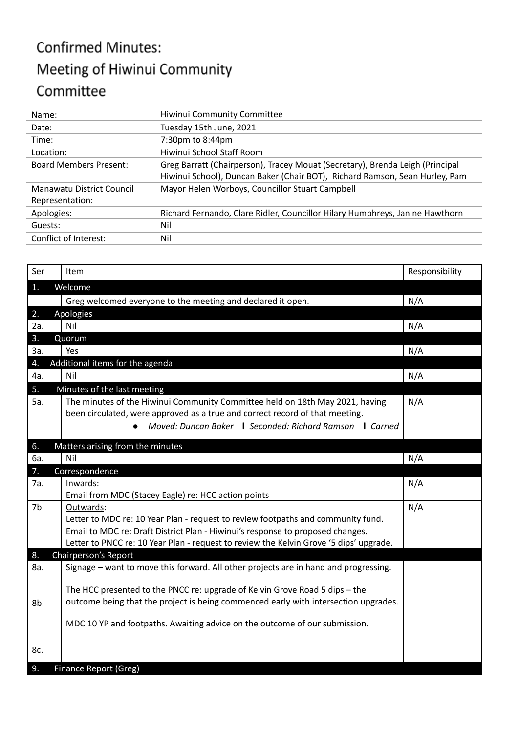## **Confirmed Minutes:** Meeting of Hiwinui Community Committee

| Name:                                                                                                                                                                                         | Hiwinui Community Committee                                                  |  |  |
|-----------------------------------------------------------------------------------------------------------------------------------------------------------------------------------------------|------------------------------------------------------------------------------|--|--|
| Date:                                                                                                                                                                                         | Tuesday 15th June, 2021                                                      |  |  |
| Time:                                                                                                                                                                                         | 7:30pm to 8:44pm                                                             |  |  |
| Location:                                                                                                                                                                                     | Hiwinui School Staff Room                                                    |  |  |
| Greg Barratt (Chairperson), Tracey Mouat (Secretary), Brenda Leigh (Principal<br><b>Board Members Present:</b><br>Hiwinui School), Duncan Baker (Chair BOT), Richard Ramson, Sean Hurley, Pam |                                                                              |  |  |
| Manawatu District Council<br>Representation:                                                                                                                                                  | Mayor Helen Worboys, Councillor Stuart Campbell                              |  |  |
| Apologies:                                                                                                                                                                                    | Richard Fernando, Clare Ridler, Councillor Hilary Humphreys, Janine Hawthorn |  |  |
| Guests:                                                                                                                                                                                       | Nil                                                                          |  |  |
| Conflict of Interest:                                                                                                                                                                         | Nil                                                                          |  |  |

| Ser              | Item                                                                                   | Responsibility |
|------------------|----------------------------------------------------------------------------------------|----------------|
| 1.               | Welcome                                                                                |                |
|                  | Greg welcomed everyone to the meeting and declared it open.                            | N/A            |
| 2.               | Apologies                                                                              |                |
| 2a.              | Nil                                                                                    | N/A            |
| 3.               | Quorum                                                                                 |                |
| За.              | Yes                                                                                    | N/A            |
| $\overline{4}$ . | Additional items for the agenda                                                        |                |
| 4a.              | Nil                                                                                    | N/A            |
| 5.               | Minutes of the last meeting                                                            |                |
| 5a.              | The minutes of the Hiwinui Community Committee held on 18th May 2021, having           | N/A            |
|                  | been circulated, were approved as a true and correct record of that meeting.           |                |
|                  | Moved: Duncan Baker   Seconded: Richard Ramson   Carried<br>$\bullet$                  |                |
| 6.               | Matters arising from the minutes                                                       |                |
| 6a.              | Nil                                                                                    | N/A            |
| 7.               |                                                                                        |                |
|                  | Correspondence                                                                         |                |
| 7а.              | Inwards:                                                                               | N/A            |
|                  | Email from MDC (Stacey Eagle) re: HCC action points                                    |                |
| 7b.              | Outwards:                                                                              | N/A            |
|                  | Letter to MDC re: 10 Year Plan - request to review footpaths and community fund.       |                |
|                  | Email to MDC re: Draft District Plan - Hiwinui's response to proposed changes.         |                |
|                  | Letter to PNCC re: 10 Year Plan - request to review the Kelvin Grove '5 dips' upgrade. |                |
| 8.               | Chairperson's Report                                                                   |                |
| 8a.              | Signage - want to move this forward. All other projects are in hand and progressing.   |                |
|                  | The HCC presented to the PNCC re: upgrade of Kelvin Grove Road 5 dips - the            |                |
| 8b.              | outcome being that the project is being commenced early with intersection upgrades.    |                |
|                  |                                                                                        |                |
|                  | MDC 10 YP and footpaths. Awaiting advice on the outcome of our submission.             |                |
|                  |                                                                                        |                |
| 8c.              |                                                                                        |                |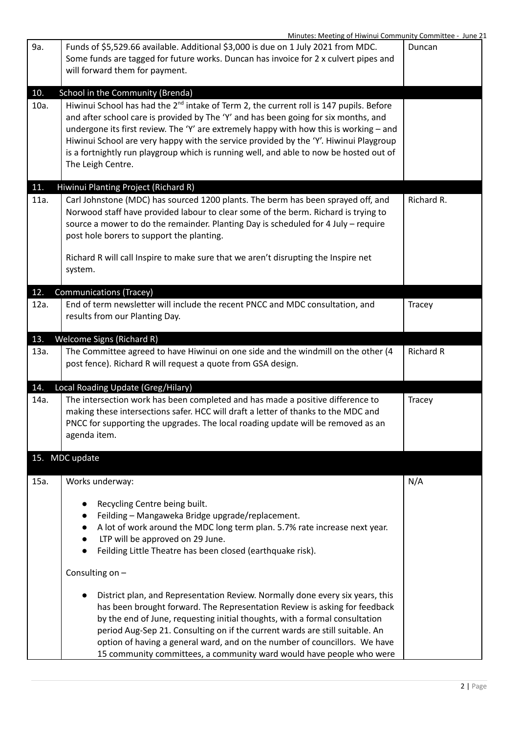|      | Minutes: Meeting of Hiwinui Community Committee - June 21                                           |                  |
|------|-----------------------------------------------------------------------------------------------------|------------------|
| 9a.  | Funds of \$5,529.66 available. Additional \$3,000 is due on 1 July 2021 from MDC.                   | Duncan           |
|      | Some funds are tagged for future works. Duncan has invoice for 2 x culvert pipes and                |                  |
|      | will forward them for payment.                                                                      |                  |
|      |                                                                                                     |                  |
| 10.  | School in the Community (Brenda)                                                                    |                  |
| 10a. | Hiwinui School has had the 2 <sup>nd</sup> intake of Term 2, the current roll is 147 pupils. Before |                  |
|      | and after school care is provided by The 'Y' and has been going for six months, and                 |                  |
|      | undergone its first review. The 'Y' are extremely happy with how this is working $-$ and            |                  |
|      | Hiwinui School are very happy with the service provided by the 'Y'. Hiwinui Playgroup               |                  |
|      | is a fortnightly run playgroup which is running well, and able to now be hosted out of              |                  |
|      | The Leigh Centre.                                                                                   |                  |
|      |                                                                                                     |                  |
| 11.  | Hiwinui Planting Project (Richard R)                                                                |                  |
| 11a. | Carl Johnstone (MDC) has sourced 1200 plants. The berm has been sprayed off, and                    | Richard R.       |
|      | Norwood staff have provided labour to clear some of the berm. Richard is trying to                  |                  |
|      | source a mower to do the remainder. Planting Day is scheduled for 4 July - require                  |                  |
|      | post hole borers to support the planting.                                                           |                  |
|      |                                                                                                     |                  |
|      | Richard R will call Inspire to make sure that we aren't disrupting the Inspire net                  |                  |
|      | system.                                                                                             |                  |
|      |                                                                                                     |                  |
| 12.  | <b>Communications (Tracey)</b>                                                                      |                  |
| 12a. | End of term newsletter will include the recent PNCC and MDC consultation, and                       | Tracey           |
|      | results from our Planting Day.                                                                      |                  |
|      |                                                                                                     |                  |
| 13.  | Welcome Signs (Richard R)                                                                           |                  |
| 13a. | The Committee agreed to have Hiwinui on one side and the windmill on the other (4                   | <b>Richard R</b> |
|      | post fence). Richard R will request a quote from GSA design.                                        |                  |
|      |                                                                                                     |                  |
| 14.  | Local Roading Update (Greg/Hilary)                                                                  |                  |
| 14a. | The intersection work has been completed and has made a positive difference to                      | Tracey           |
|      | making these intersections safer. HCC will draft a letter of thanks to the MDC and                  |                  |
|      | PNCC for supporting the upgrades. The local roading update will be removed as an                    |                  |
|      | agenda item.                                                                                        |                  |
|      |                                                                                                     |                  |
|      | 15. MDC update                                                                                      |                  |
|      |                                                                                                     |                  |
| 15a. | Works underway:                                                                                     | N/A              |
|      |                                                                                                     |                  |
|      | Recycling Centre being built.                                                                       |                  |
|      | Feilding - Mangaweka Bridge upgrade/replacement.                                                    |                  |
|      | A lot of work around the MDC long term plan. 5.7% rate increase next year.<br>$\bullet$             |                  |
|      | LTP will be approved on 29 June.                                                                    |                  |
|      | Feilding Little Theatre has been closed (earthquake risk).                                          |                  |
|      |                                                                                                     |                  |
|      | Consulting on -                                                                                     |                  |
|      |                                                                                                     |                  |
|      | District plan, and Representation Review. Normally done every six years, this<br>$\bullet$          |                  |
|      | has been brought forward. The Representation Review is asking for feedback                          |                  |
|      | by the end of June, requesting initial thoughts, with a formal consultation                         |                  |
|      | period Aug-Sep 21. Consulting on if the current wards are still suitable. An                        |                  |
|      | option of having a general ward, and on the number of councillors. We have                          |                  |
|      | 15 community committees, a community ward would have people who were                                |                  |